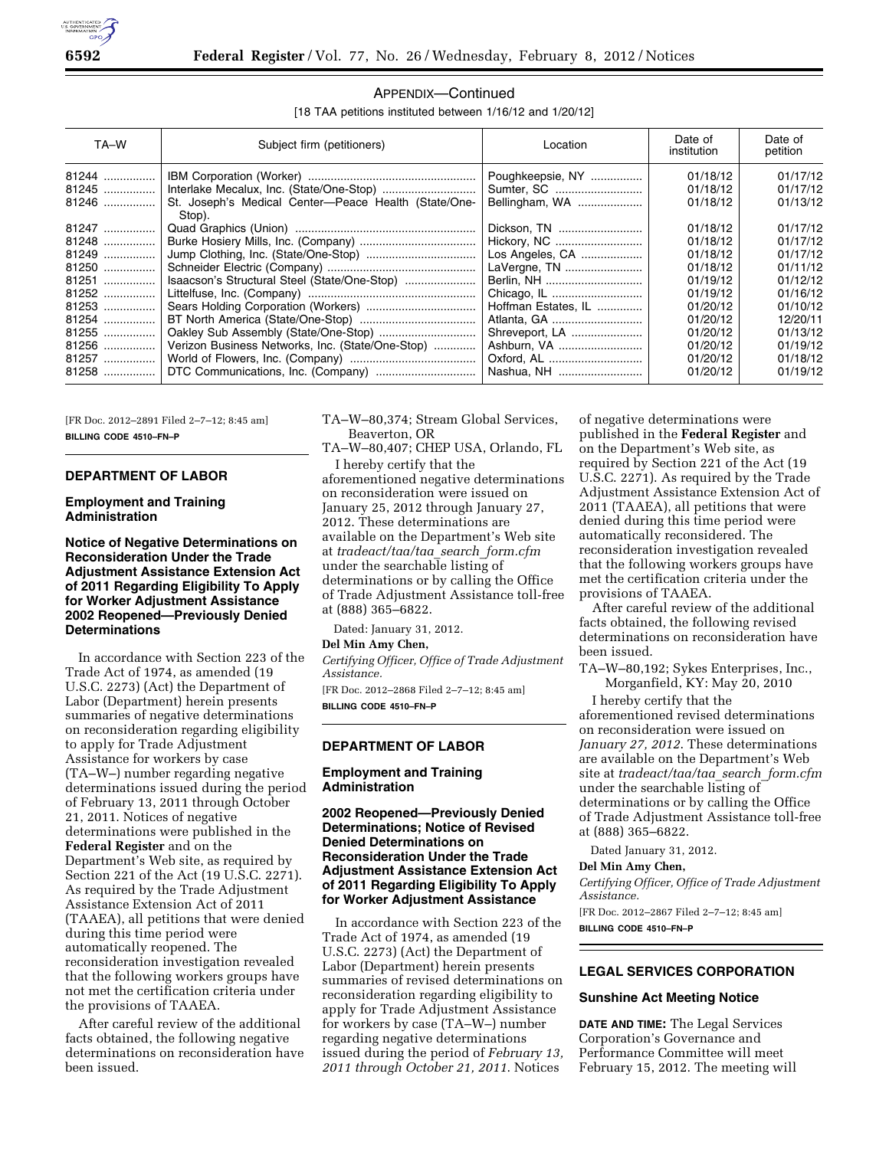

## APPENDIX—Continued

[18 TAA petitions instituted between 1/16/12 and 1/20/12]

| TA-W                    | Subject firm (petitioners)                                     | Location                                         | Date of<br>institution           | Date of<br>petition              |
|-------------------------|----------------------------------------------------------------|--------------------------------------------------|----------------------------------|----------------------------------|
| 81244<br>81245<br>81246 | St. Joseph's Medical Center-Peace Health (State/One-<br>Stop). | Poughkeepsie, NY<br>Sumter, SC<br>Bellingham, WA | 01/18/12<br>01/18/12<br>01/18/12 | 01/17/12<br>01/17/12<br>01/13/12 |
| 81247                   |                                                                | Dickson, TN                                      | 01/18/12                         | 01/17/12                         |
| 81248                   |                                                                | Hickory, NC                                      | 01/18/12                         | 01/17/12                         |
| 81249                   |                                                                | Los Angeles, CA                                  | 01/18/12                         | 01/17/12                         |
| 81250                   |                                                                | LaVergne, TN                                     | 01/18/12                         | 01/11/12                         |
| 81251                   | Isaacson's Structural Steel (State/One-Stop)                   | Berlin, NH                                       | 01/19/12                         | 01/12/12                         |
| 81252                   |                                                                |                                                  | 01/19/12                         | 01/16/12                         |
| 81253                   |                                                                | Hoffman Estates, IL                              | 01/20/12                         | 01/10/12                         |
| 81254                   |                                                                | Atlanta, GA                                      | 01/20/12                         | 12/20/11                         |
| 81255                   |                                                                | Shreveport, LA                                   | 01/20/12                         | 01/13/12                         |
| 81256                   | Verizon Business Networks, Inc. (State/One-Stop)               | Ashburn, VA                                      | 01/20/12                         | 01/19/12                         |
| 81257                   |                                                                | Oxford, AL                                       | 01/20/12                         | 01/18/12                         |
| 81258                   |                                                                | Nashua, NH                                       | 01/20/12                         | 01/19/12                         |

[FR Doc. 2012–2891 Filed 2–7–12; 8:45 am] **BILLING CODE 4510–FN–P** 

### **DEPARTMENT OF LABOR**

## **Employment and Training Administration**

## **Notice of Negative Determinations on Reconsideration Under the Trade Adjustment Assistance Extension Act of 2011 Regarding Eligibility To Apply for Worker Adjustment Assistance 2002 Reopened—Previously Denied Determinations**

In accordance with Section 223 of the Trade Act of 1974, as amended (19 U.S.C. 2273) (Act) the Department of Labor (Department) herein presents summaries of negative determinations on reconsideration regarding eligibility to apply for Trade Adjustment Assistance for workers by case (TA–W–) number regarding negative determinations issued during the period of February 13, 2011 through October 21, 2011. Notices of negative determinations were published in the **Federal Register** and on the Department's Web site, as required by Section 221 of the Act (19 U.S.C. 2271). As required by the Trade Adjustment Assistance Extension Act of 2011 (TAAEA), all petitions that were denied during this time period were automatically reopened. The reconsideration investigation revealed that the following workers groups have not met the certification criteria under the provisions of TAAEA.

After careful review of the additional facts obtained, the following negative determinations on reconsideration have been issued.

TA–W–80,374; Stream Global Services, Beaverton, OR

TA–W–80,407; CHEP USA, Orlando, FL I hereby certify that the

aforementioned negative determinations on reconsideration were issued on January 25, 2012 through January 27, 2012. These determinations are available on the Department's Web site at *tradeact/taa/taa*\_*search*\_*form.cfm*  under the searchable listing of determinations or by calling the Office of Trade Adjustment Assistance toll-free at (888) 365–6822.

Dated: January 31, 2012.

# **Del Min Amy Chen,**

*Certifying Officer, Office of Trade Adjustment Assistance.* 

[FR Doc. 2012–2868 Filed 2–7–12; 8:45 am] **BILLING CODE 4510–FN–P** 

#### **DEPARTMENT OF LABOR**

### **Employment and Training Administration**

# **2002 Reopened—Previously Denied Determinations; Notice of Revised Denied Determinations on Reconsideration Under the Trade Adjustment Assistance Extension Act of 2011 Regarding Eligibility To Apply for Worker Adjustment Assistance**

In accordance with Section 223 of the Trade Act of 1974, as amended (19 U.S.C. 2273) (Act) the Department of Labor (Department) herein presents summaries of revised determinations on reconsideration regarding eligibility to apply for Trade Adjustment Assistance for workers by case (TA–W–) number regarding negative determinations issued during the period of *February 13, 2011 through October 21, 2011*. Notices

of negative determinations were published in the **Federal Register** and on the Department's Web site, as required by Section 221 of the Act (19 U.S.C. 2271). As required by the Trade Adjustment Assistance Extension Act of 2011 (TAAEA), all petitions that were denied during this time period were automatically reconsidered. The reconsideration investigation revealed that the following workers groups have met the certification criteria under the provisions of TAAEA.

After careful review of the additional facts obtained, the following revised determinations on reconsideration have been issued.

TA–W–80,192; Sykes Enterprises, Inc., Morganfield, KY: May 20, 2010

I hereby certify that the aforementioned revised determinations on reconsideration were issued on *January 27, 2012*. These determinations are available on the Department's Web site at *tradeact/taa/taa*\_*search*\_*form.cfm*  under the searchable listing of determinations or by calling the Office of Trade Adjustment Assistance toll-free at (888) 365–6822.

Dated January 31, 2012.

#### **Del Min Amy Chen,**

*Certifying Officer, Office of Trade Adjustment Assistance.* 

[FR Doc. 2012–2867 Filed 2–7–12; 8:45 am] **BILLING CODE 4510–FN–P** 

# **LEGAL SERVICES CORPORATION**

#### **Sunshine Act Meeting Notice**

**DATE AND TIME:** The Legal Services Corporation's Governance and Performance Committee will meet February 15, 2012. The meeting will